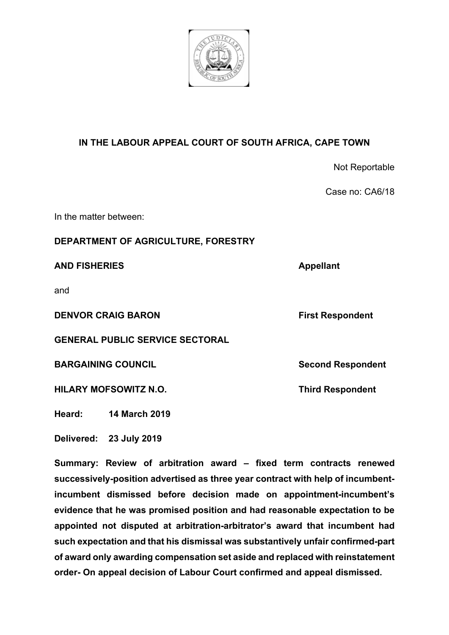

# **IN THE LABOUR APPEAL COURT OF SOUTH AFRICA, CAPE TOWN**

|                                        | Not Reportable           |
|----------------------------------------|--------------------------|
|                                        | Case no: CA6/18          |
| In the matter between:                 |                          |
| DEPARTMENT OF AGRICULTURE, FORESTRY    |                          |
| <b>AND FISHERIES</b>                   | <b>Appellant</b>         |
| and                                    |                          |
| <b>DENVOR CRAIG BARON</b>              | <b>First Respondent</b>  |
| <b>GENERAL PUBLIC SERVICE SECTORAL</b> |                          |
| <b>BARGAINING COUNCIL</b>              | <b>Second Respondent</b> |
| <b>HILARY MOFSOWITZ N.O.</b>           | <b>Third Respondent</b>  |
|                                        |                          |

**Heard: 14 March 2019**

**Delivered: 23 July 2019**

**Summary: Review of arbitration award – fixed term contracts renewed successively-position advertised as three year contract with help of incumbentincumbent dismissed before decision made on appointment-incumbent's evidence that he was promised position and had reasonable expectation to be appointed not disputed at arbitration-arbitrator's award that incumbent had such expectation and that his dismissal was substantively unfair confirmed-part of award only awarding compensation set aside and replaced with reinstatement order- On appeal decision of Labour Court confirmed and appeal dismissed.**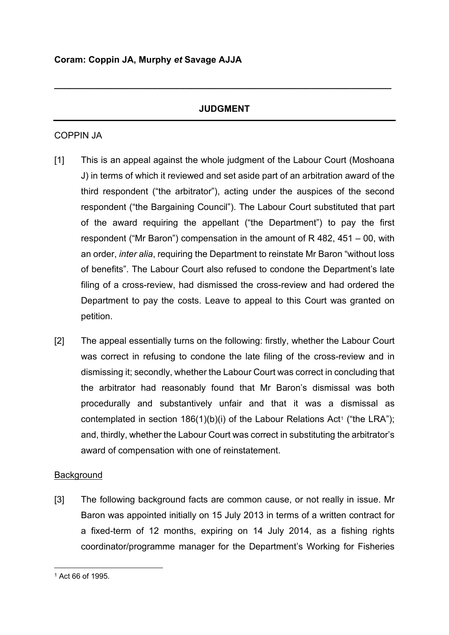# **JUDGMENT**

**\_\_\_\_\_\_\_\_\_\_\_\_\_\_\_\_\_\_\_\_\_\_\_\_\_\_\_\_\_\_\_\_\_\_\_\_\_\_\_\_\_\_\_\_\_\_\_\_\_\_\_\_\_\_\_\_\_\_\_\_\_\_\_\_\_\_\_**

## COPPIN JA

- [1] This is an appeal against the whole judgment of the Labour Court (Moshoana J) in terms of which it reviewed and set aside part of an arbitration award of the third respondent ("the arbitrator"), acting under the auspices of the second respondent ("the Bargaining Council"). The Labour Court substituted that part of the award requiring the appellant ("the Department") to pay the first respondent ("Mr Baron") compensation in the amount of R 482, 451 – 00, with an order, *inter alia*, requiring the Department to reinstate Mr Baron "without loss of benefits". The Labour Court also refused to condone the Department's late filing of a cross-review, had dismissed the cross-review and had ordered the Department to pay the costs. Leave to appeal to this Court was granted on petition.
- [2] The appeal essentially turns on the following: firstly, whether the Labour Court was correct in refusing to condone the late filing of the cross-review and in dismissing it; secondly, whether the Labour Court was correct in concluding that the arbitrator had reasonably found that Mr Baron's dismissal was both procedurally and substantively unfair and that it was a dismissal as contemplated in section  $186(1)(b)(i)$  $186(1)(b)(i)$  of the Labour Relations Act<sup>1</sup> ("the LRA"); and, thirdly, whether the Labour Court was correct in substituting the arbitrator's award of compensation with one of reinstatement.

## **Background**

[3] The following background facts are common cause, or not really in issue. Mr Baron was appointed initially on 15 July 2013 in terms of a written contract for a fixed-term of 12 months, expiring on 14 July 2014, as a fishing rights coordinator/programme manager for the Department's Working for Fisheries

<span id="page-1-0"></span><sup>1</sup> Act 66 of 1995.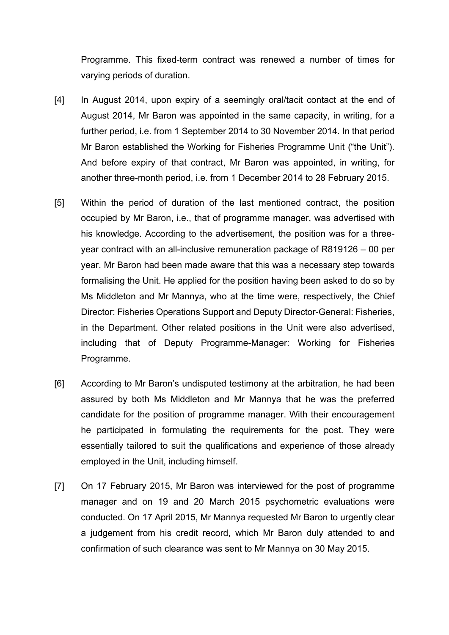Programme. This fixed-term contract was renewed a number of times for varying periods of duration.

- [4] In August 2014, upon expiry of a seemingly oral/tacit contact at the end of August 2014, Mr Baron was appointed in the same capacity, in writing, for a further period, i.e. from 1 September 2014 to 30 November 2014. In that period Mr Baron established the Working for Fisheries Programme Unit ("the Unit"). And before expiry of that contract, Mr Baron was appointed, in writing, for another three-month period, i.e. from 1 December 2014 to 28 February 2015.
- [5] Within the period of duration of the last mentioned contract, the position occupied by Mr Baron, i.e., that of programme manager, was advertised with his knowledge. According to the advertisement, the position was for a threeyear contract with an all-inclusive remuneration package of R819126 – 00 per year. Mr Baron had been made aware that this was a necessary step towards formalising the Unit. He applied for the position having been asked to do so by Ms Middleton and Mr Mannya, who at the time were, respectively, the Chief Director: Fisheries Operations Support and Deputy Director-General: Fisheries, in the Department. Other related positions in the Unit were also advertised, including that of Deputy Programme-Manager: Working for Fisheries Programme.
- [6] According to Mr Baron's undisputed testimony at the arbitration, he had been assured by both Ms Middleton and Mr Mannya that he was the preferred candidate for the position of programme manager. With their encouragement he participated in formulating the requirements for the post. They were essentially tailored to suit the qualifications and experience of those already employed in the Unit, including himself.
- [7] On 17 February 2015, Mr Baron was interviewed for the post of programme manager and on 19 and 20 March 2015 psychometric evaluations were conducted. On 17 April 2015, Mr Mannya requested Mr Baron to urgently clear a judgement from his credit record, which Mr Baron duly attended to and confirmation of such clearance was sent to Mr Mannya on 30 May 2015.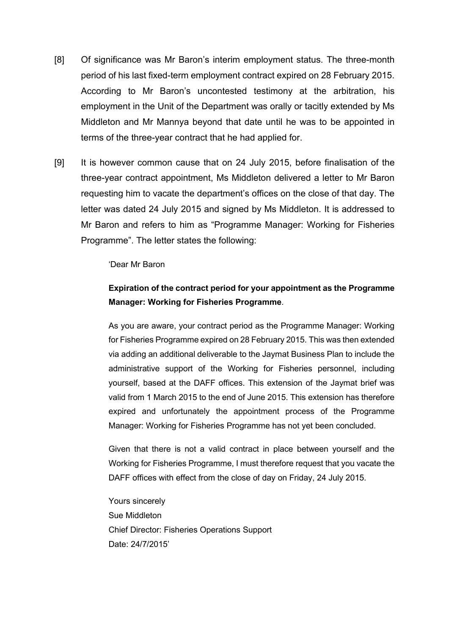- [8] Of significance was Mr Baron's interim employment status. The three-month period of his last fixed-term employment contract expired on 28 February 2015. According to Mr Baron's uncontested testimony at the arbitration, his employment in the Unit of the Department was orally or tacitly extended by Ms Middleton and Mr Mannya beyond that date until he was to be appointed in terms of the three-year contract that he had applied for.
- [9] It is however common cause that on 24 July 2015, before finalisation of the three-year contract appointment, Ms Middleton delivered a letter to Mr Baron requesting him to vacate the department's offices on the close of that day. The letter was dated 24 July 2015 and signed by Ms Middleton. It is addressed to Mr Baron and refers to him as "Programme Manager: Working for Fisheries Programme". The letter states the following:

#### 'Dear Mr Baron

# **Expiration of the contract period for your appointment as the Programme Manager: Working for Fisheries Programme**.

As you are aware, your contract period as the Programme Manager: Working for Fisheries Programme expired on 28 February 2015. This was then extended via adding an additional deliverable to the Jaymat Business Plan to include the administrative support of the Working for Fisheries personnel, including yourself, based at the DAFF offices. This extension of the Jaymat brief was valid from 1 March 2015 to the end of June 2015. This extension has therefore expired and unfortunately the appointment process of the Programme Manager: Working for Fisheries Programme has not yet been concluded.

Given that there is not a valid contract in place between yourself and the Working for Fisheries Programme, I must therefore request that you vacate the DAFF offices with effect from the close of day on Friday, 24 July 2015.

Yours sincerely Sue Middleton Chief Director: Fisheries Operations Support Date: 24/7/2015'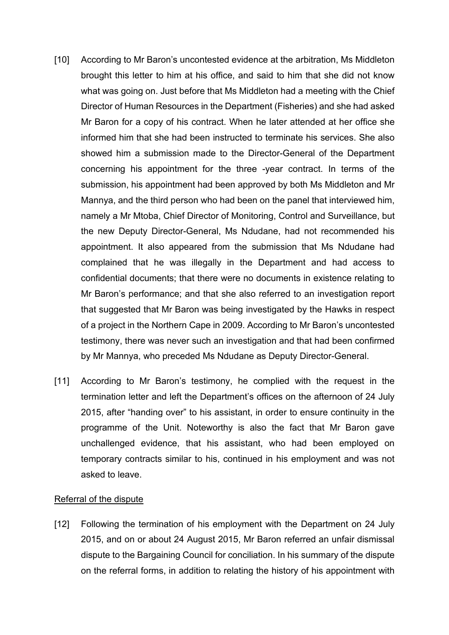- [10] According to Mr Baron's uncontested evidence at the arbitration, Ms Middleton brought this letter to him at his office, and said to him that she did not know what was going on. Just before that Ms Middleton had a meeting with the Chief Director of Human Resources in the Department (Fisheries) and she had asked Mr Baron for a copy of his contract. When he later attended at her office she informed him that she had been instructed to terminate his services. She also showed him a submission made to the Director-General of the Department concerning his appointment for the three -year contract. In terms of the submission, his appointment had been approved by both Ms Middleton and Mr Mannya, and the third person who had been on the panel that interviewed him, namely a Mr Mtoba, Chief Director of Monitoring, Control and Surveillance, but the new Deputy Director-General, Ms Ndudane, had not recommended his appointment. It also appeared from the submission that Ms Ndudane had complained that he was illegally in the Department and had access to confidential documents; that there were no documents in existence relating to Mr Baron's performance; and that she also referred to an investigation report that suggested that Mr Baron was being investigated by the Hawks in respect of a project in the Northern Cape in 2009. According to Mr Baron's uncontested testimony, there was never such an investigation and that had been confirmed by Mr Mannya, who preceded Ms Ndudane as Deputy Director-General.
- [11] According to Mr Baron's testimony, he complied with the request in the termination letter and left the Department's offices on the afternoon of 24 July 2015, after "handing over" to his assistant, in order to ensure continuity in the programme of the Unit. Noteworthy is also the fact that Mr Baron gave unchallenged evidence, that his assistant, who had been employed on temporary contracts similar to his, continued in his employment and was not asked to leave.

## Referral of the dispute

[12] Following the termination of his employment with the Department on 24 July 2015, and on or about 24 August 2015, Mr Baron referred an unfair dismissal dispute to the Bargaining Council for conciliation. In his summary of the dispute on the referral forms, in addition to relating the history of his appointment with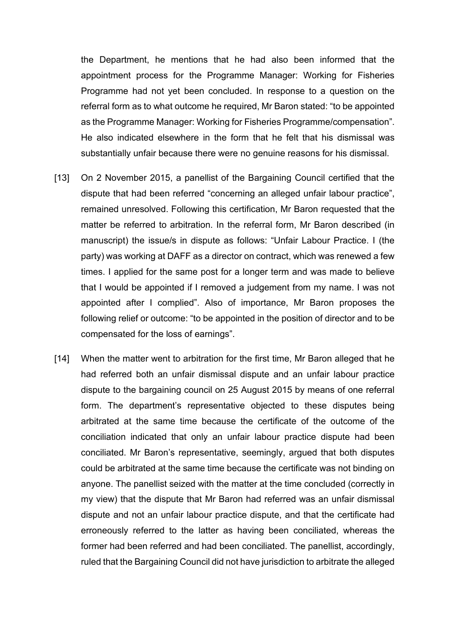the Department, he mentions that he had also been informed that the appointment process for the Programme Manager: Working for Fisheries Programme had not yet been concluded. In response to a question on the referral form as to what outcome he required, Mr Baron stated: "to be appointed as the Programme Manager: Working for Fisheries Programme/compensation". He also indicated elsewhere in the form that he felt that his dismissal was substantially unfair because there were no genuine reasons for his dismissal.

- [13] On 2 November 2015, a panellist of the Bargaining Council certified that the dispute that had been referred "concerning an alleged unfair labour practice", remained unresolved. Following this certification, Mr Baron requested that the matter be referred to arbitration. In the referral form, Mr Baron described (in manuscript) the issue/s in dispute as follows: "Unfair Labour Practice. I (the party) was working at DAFF as a director on contract, which was renewed a few times. I applied for the same post for a longer term and was made to believe that I would be appointed if I removed a judgement from my name. I was not appointed after I complied". Also of importance, Mr Baron proposes the following relief or outcome: "to be appointed in the position of director and to be compensated for the loss of earnings".
- [14] When the matter went to arbitration for the first time, Mr Baron alleged that he had referred both an unfair dismissal dispute and an unfair labour practice dispute to the bargaining council on 25 August 2015 by means of one referral form. The department's representative objected to these disputes being arbitrated at the same time because the certificate of the outcome of the conciliation indicated that only an unfair labour practice dispute had been conciliated. Mr Baron's representative, seemingly, argued that both disputes could be arbitrated at the same time because the certificate was not binding on anyone. The panellist seized with the matter at the time concluded (correctly in my view) that the dispute that Mr Baron had referred was an unfair dismissal dispute and not an unfair labour practice dispute, and that the certificate had erroneously referred to the latter as having been conciliated, whereas the former had been referred and had been conciliated. The panellist, accordingly, ruled that the Bargaining Council did not have jurisdiction to arbitrate the alleged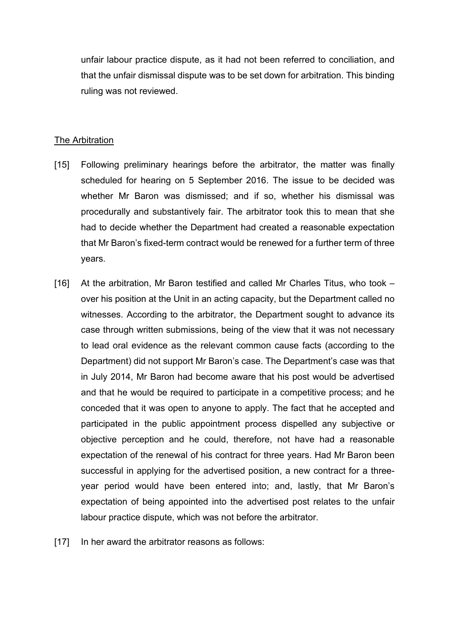unfair labour practice dispute, as it had not been referred to conciliation, and that the unfair dismissal dispute was to be set down for arbitration. This binding ruling was not reviewed.

### The Arbitration

- [15] Following preliminary hearings before the arbitrator, the matter was finally scheduled for hearing on 5 September 2016. The issue to be decided was whether Mr Baron was dismissed; and if so, whether his dismissal was procedurally and substantively fair. The arbitrator took this to mean that she had to decide whether the Department had created a reasonable expectation that Mr Baron's fixed-term contract would be renewed for a further term of three years.
- [16] At the arbitration, Mr Baron testified and called Mr Charles Titus, who took over his position at the Unit in an acting capacity, but the Department called no witnesses. According to the arbitrator, the Department sought to advance its case through written submissions, being of the view that it was not necessary to lead oral evidence as the relevant common cause facts (according to the Department) did not support Mr Baron's case. The Department's case was that in July 2014, Mr Baron had become aware that his post would be advertised and that he would be required to participate in a competitive process; and he conceded that it was open to anyone to apply. The fact that he accepted and participated in the public appointment process dispelled any subjective or objective perception and he could, therefore, not have had a reasonable expectation of the renewal of his contract for three years. Had Mr Baron been successful in applying for the advertised position, a new contract for a threeyear period would have been entered into; and, lastly, that Mr Baron's expectation of being appointed into the advertised post relates to the unfair labour practice dispute, which was not before the arbitrator.
- [17] In her award the arbitrator reasons as follows: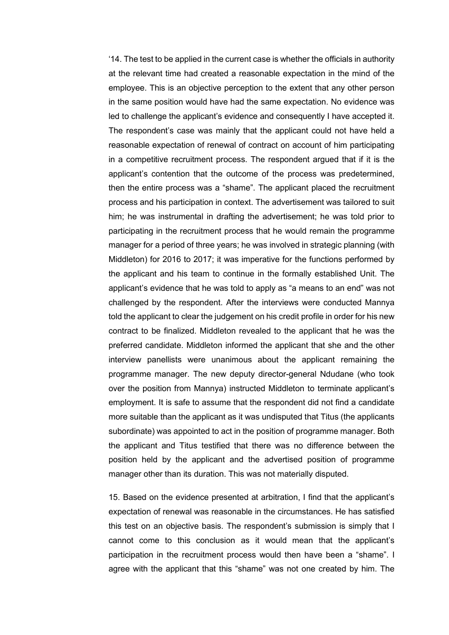'14. The test to be applied in the current case is whether the officials in authority at the relevant time had created a reasonable expectation in the mind of the employee. This is an objective perception to the extent that any other person in the same position would have had the same expectation. No evidence was led to challenge the applicant's evidence and consequently I have accepted it. The respondent's case was mainly that the applicant could not have held a reasonable expectation of renewal of contract on account of him participating in a competitive recruitment process. The respondent argued that if it is the applicant's contention that the outcome of the process was predetermined, then the entire process was a "shame". The applicant placed the recruitment process and his participation in context. The advertisement was tailored to suit him; he was instrumental in drafting the advertisement; he was told prior to participating in the recruitment process that he would remain the programme manager for a period of three years; he was involved in strategic planning (with Middleton) for 2016 to 2017; it was imperative for the functions performed by the applicant and his team to continue in the formally established Unit. The applicant's evidence that he was told to apply as "a means to an end" was not challenged by the respondent. After the interviews were conducted Mannya told the applicant to clear the judgement on his credit profile in order for his new contract to be finalized. Middleton revealed to the applicant that he was the preferred candidate. Middleton informed the applicant that she and the other interview panellists were unanimous about the applicant remaining the programme manager. The new deputy director-general Ndudane (who took over the position from Mannya) instructed Middleton to terminate applicant's employment. It is safe to assume that the respondent did not find a candidate more suitable than the applicant as it was undisputed that Titus (the applicants subordinate) was appointed to act in the position of programme manager. Both the applicant and Titus testified that there was no difference between the position held by the applicant and the advertised position of programme manager other than its duration. This was not materially disputed.

15. Based on the evidence presented at arbitration, I find that the applicant's expectation of renewal was reasonable in the circumstances. He has satisfied this test on an objective basis. The respondent's submission is simply that I cannot come to this conclusion as it would mean that the applicant's participation in the recruitment process would then have been a "shame". I agree with the applicant that this "shame" was not one created by him. The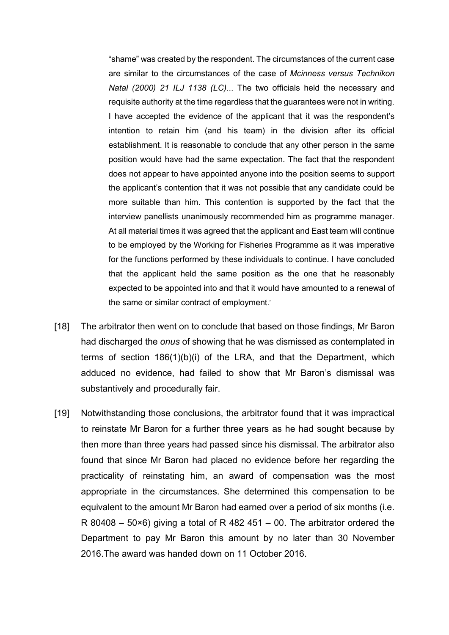"shame" was created by the respondent. The circumstances of the current case are similar to the circumstances of the case of *Mcinness versus Technikon Natal (2000) 21 ILJ 1138 (LC)*... The two officials held the necessary and requisite authority at the time regardless that the guarantees were not in writing. I have accepted the evidence of the applicant that it was the respondent's intention to retain him (and his team) in the division after its official establishment. It is reasonable to conclude that any other person in the same position would have had the same expectation. The fact that the respondent does not appear to have appointed anyone into the position seems to support the applicant's contention that it was not possible that any candidate could be more suitable than him. This contention is supported by the fact that the interview panellists unanimously recommended him as programme manager. At all material times it was agreed that the applicant and East team will continue to be employed by the Working for Fisheries Programme as it was imperative for the functions performed by these individuals to continue. I have concluded that the applicant held the same position as the one that he reasonably expected to be appointed into and that it would have amounted to a renewal of the same or similar contract of employment.'

- [18] The arbitrator then went on to conclude that based on those findings, Mr Baron had discharged the *onus* of showing that he was dismissed as contemplated in terms of section 186(1)(b)(i) of the LRA, and that the Department, which adduced no evidence, had failed to show that Mr Baron's dismissal was substantively and procedurally fair.
- [19] Notwithstanding those conclusions, the arbitrator found that it was impractical to reinstate Mr Baron for a further three years as he had sought because by then more than three years had passed since his dismissal. The arbitrator also found that since Mr Baron had placed no evidence before her regarding the practicality of reinstating him, an award of compensation was the most appropriate in the circumstances. She determined this compensation to be equivalent to the amount Mr Baron had earned over a period of six months (i.e. R 80408 – 50 $\times$ 6) giving a total of R 482 451 – 00. The arbitrator ordered the Department to pay Mr Baron this amount by no later than 30 November 2016.The award was handed down on 11 October 2016.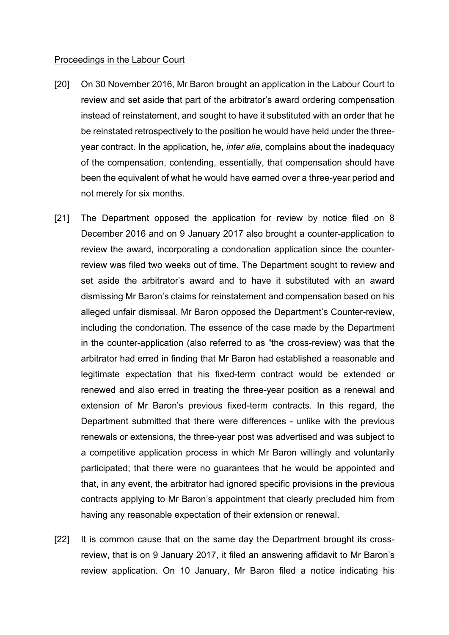#### Proceedings in the Labour Court

- [20] On 30 November 2016, Mr Baron brought an application in the Labour Court to review and set aside that part of the arbitrator's award ordering compensation instead of reinstatement, and sought to have it substituted with an order that he be reinstated retrospectively to the position he would have held under the threeyear contract. In the application, he, *inter alia*, complains about the inadequacy of the compensation, contending, essentially, that compensation should have been the equivalent of what he would have earned over a three-year period and not merely for six months.
- [21] The Department opposed the application for review by notice filed on 8 December 2016 and on 9 January 2017 also brought a counter-application to review the award, incorporating a condonation application since the counterreview was filed two weeks out of time. The Department sought to review and set aside the arbitrator's award and to have it substituted with an award dismissing Mr Baron's claims for reinstatement and compensation based on his alleged unfair dismissal. Mr Baron opposed the Department's Counter-review, including the condonation. The essence of the case made by the Department in the counter-application (also referred to as "the cross-review) was that the arbitrator had erred in finding that Mr Baron had established a reasonable and legitimate expectation that his fixed-term contract would be extended or renewed and also erred in treating the three-year position as a renewal and extension of Mr Baron's previous fixed-term contracts. In this regard, the Department submitted that there were differences - unlike with the previous renewals or extensions, the three-year post was advertised and was subject to a competitive application process in which Mr Baron willingly and voluntarily participated; that there were no guarantees that he would be appointed and that, in any event, the arbitrator had ignored specific provisions in the previous contracts applying to Mr Baron's appointment that clearly precluded him from having any reasonable expectation of their extension or renewal.
- [22] It is common cause that on the same day the Department brought its crossreview, that is on 9 January 2017, it filed an answering affidavit to Mr Baron's review application. On 10 January, Mr Baron filed a notice indicating his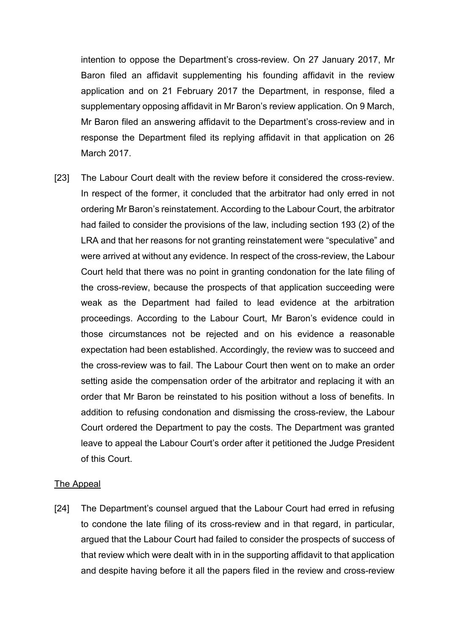intention to oppose the Department's cross-review. On 27 January 2017, Mr Baron filed an affidavit supplementing his founding affidavit in the review application and on 21 February 2017 the Department, in response, filed a supplementary opposing affidavit in Mr Baron's review application. On 9 March, Mr Baron filed an answering affidavit to the Department's cross-review and in response the Department filed its replying affidavit in that application on 26 March 2017.

[23] The Labour Court dealt with the review before it considered the cross-review. In respect of the former, it concluded that the arbitrator had only erred in not ordering Mr Baron's reinstatement. According to the Labour Court, the arbitrator had failed to consider the provisions of the law, including section 193 (2) of the LRA and that her reasons for not granting reinstatement were "speculative" and were arrived at without any evidence. In respect of the cross-review, the Labour Court held that there was no point in granting condonation for the late filing of the cross-review, because the prospects of that application succeeding were weak as the Department had failed to lead evidence at the arbitration proceedings. According to the Labour Court, Mr Baron's evidence could in those circumstances not be rejected and on his evidence a reasonable expectation had been established. Accordingly, the review was to succeed and the cross-review was to fail. The Labour Court then went on to make an order setting aside the compensation order of the arbitrator and replacing it with an order that Mr Baron be reinstated to his position without a loss of benefits. In addition to refusing condonation and dismissing the cross-review, the Labour Court ordered the Department to pay the costs. The Department was granted leave to appeal the Labour Court's order after it petitioned the Judge President of this Court.

## The Appeal

[24] The Department's counsel argued that the Labour Court had erred in refusing to condone the late filing of its cross-review and in that regard, in particular, argued that the Labour Court had failed to consider the prospects of success of that review which were dealt with in in the supporting affidavit to that application and despite having before it all the papers filed in the review and cross-review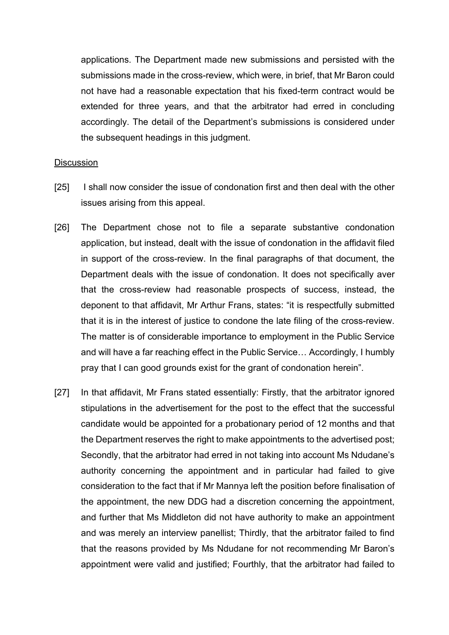applications. The Department made new submissions and persisted with the submissions made in the cross-review, which were, in brief, that Mr Baron could not have had a reasonable expectation that his fixed-term contract would be extended for three years, and that the arbitrator had erred in concluding accordingly. The detail of the Department's submissions is considered under the subsequent headings in this judgment.

#### **Discussion**

- [25] I shall now consider the issue of condonation first and then deal with the other issues arising from this appeal.
- [26] The Department chose not to file a separate substantive condonation application, but instead, dealt with the issue of condonation in the affidavit filed in support of the cross-review. In the final paragraphs of that document, the Department deals with the issue of condonation. It does not specifically aver that the cross-review had reasonable prospects of success, instead, the deponent to that affidavit, Mr Arthur Frans, states: "it is respectfully submitted that it is in the interest of justice to condone the late filing of the cross-review. The matter is of considerable importance to employment in the Public Service and will have a far reaching effect in the Public Service… Accordingly, I humbly pray that I can good grounds exist for the grant of condonation herein".
- [27] In that affidavit, Mr Frans stated essentially: Firstly, that the arbitrator ignored stipulations in the advertisement for the post to the effect that the successful candidate would be appointed for a probationary period of 12 months and that the Department reserves the right to make appointments to the advertised post; Secondly, that the arbitrator had erred in not taking into account Ms Ndudane's authority concerning the appointment and in particular had failed to give consideration to the fact that if Mr Mannya left the position before finalisation of the appointment, the new DDG had a discretion concerning the appointment, and further that Ms Middleton did not have authority to make an appointment and was merely an interview panellist; Thirdly, that the arbitrator failed to find that the reasons provided by Ms Ndudane for not recommending Mr Baron's appointment were valid and justified; Fourthly, that the arbitrator had failed to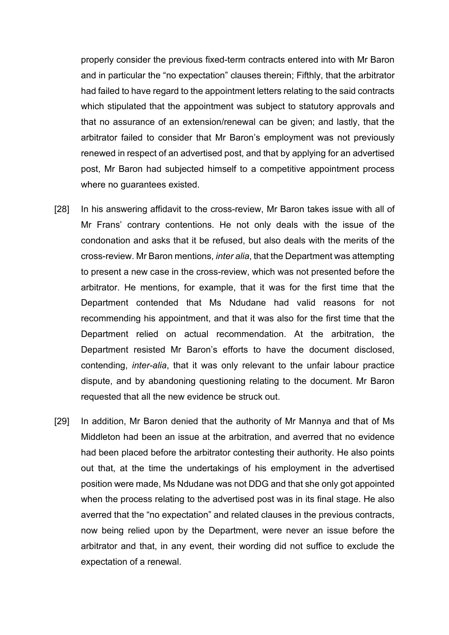properly consider the previous fixed-term contracts entered into with Mr Baron and in particular the "no expectation" clauses therein; Fifthly, that the arbitrator had failed to have regard to the appointment letters relating to the said contracts which stipulated that the appointment was subject to statutory approvals and that no assurance of an extension/renewal can be given; and lastly, that the arbitrator failed to consider that Mr Baron's employment was not previously renewed in respect of an advertised post, and that by applying for an advertised post, Mr Baron had subjected himself to a competitive appointment process where no guarantees existed.

- [28] In his answering affidavit to the cross-review, Mr Baron takes issue with all of Mr Frans' contrary contentions. He not only deals with the issue of the condonation and asks that it be refused, but also deals with the merits of the cross-review. Mr Baron mentions, *inter alia*, that the Department was attempting to present a new case in the cross-review, which was not presented before the arbitrator. He mentions, for example, that it was for the first time that the Department contended that Ms Ndudane had valid reasons for not recommending his appointment, and that it was also for the first time that the Department relied on actual recommendation. At the arbitration, the Department resisted Mr Baron's efforts to have the document disclosed, contending, *inter-alia*, that it was only relevant to the unfair labour practice dispute, and by abandoning questioning relating to the document. Mr Baron requested that all the new evidence be struck out.
- [29] In addition, Mr Baron denied that the authority of Mr Mannya and that of Ms Middleton had been an issue at the arbitration, and averred that no evidence had been placed before the arbitrator contesting their authority. He also points out that, at the time the undertakings of his employment in the advertised position were made, Ms Ndudane was not DDG and that she only got appointed when the process relating to the advertised post was in its final stage. He also averred that the "no expectation" and related clauses in the previous contracts, now being relied upon by the Department, were never an issue before the arbitrator and that, in any event, their wording did not suffice to exclude the expectation of a renewal.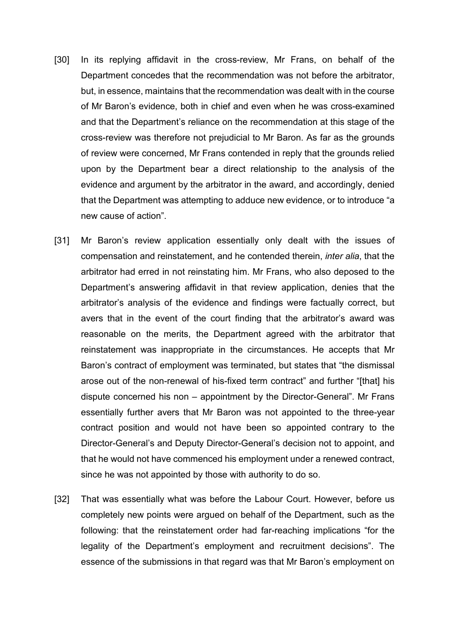- [30] In its replying affidavit in the cross-review, Mr Frans, on behalf of the Department concedes that the recommendation was not before the arbitrator, but, in essence, maintains that the recommendation was dealt with in the course of Mr Baron's evidence, both in chief and even when he was cross-examined and that the Department's reliance on the recommendation at this stage of the cross-review was therefore not prejudicial to Mr Baron. As far as the grounds of review were concerned, Mr Frans contended in reply that the grounds relied upon by the Department bear a direct relationship to the analysis of the evidence and argument by the arbitrator in the award, and accordingly, denied that the Department was attempting to adduce new evidence, or to introduce "a new cause of action".
- [31] Mr Baron's review application essentially only dealt with the issues of compensation and reinstatement, and he contended therein, *inter alia*, that the arbitrator had erred in not reinstating him. Mr Frans, who also deposed to the Department's answering affidavit in that review application, denies that the arbitrator's analysis of the evidence and findings were factually correct, but avers that in the event of the court finding that the arbitrator's award was reasonable on the merits, the Department agreed with the arbitrator that reinstatement was inappropriate in the circumstances. He accepts that Mr Baron's contract of employment was terminated, but states that "the dismissal arose out of the non-renewal of his-fixed term contract" and further "[that] his dispute concerned his non – appointment by the Director-General". Mr Frans essentially further avers that Mr Baron was not appointed to the three-year contract position and would not have been so appointed contrary to the Director-General's and Deputy Director-General's decision not to appoint, and that he would not have commenced his employment under a renewed contract, since he was not appointed by those with authority to do so.
- [32] That was essentially what was before the Labour Court. However, before us completely new points were argued on behalf of the Department, such as the following: that the reinstatement order had far-reaching implications "for the legality of the Department's employment and recruitment decisions". The essence of the submissions in that regard was that Mr Baron's employment on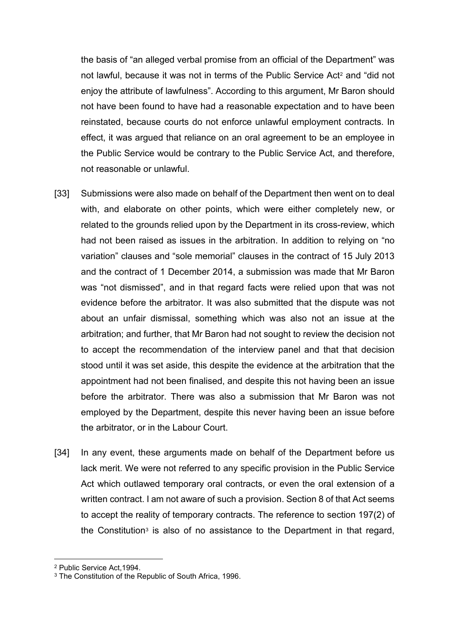the basis of "an alleged verbal promise from an official of the Department" was not lawful, because it was not in terms of the Public Service Act<sup>[2](#page-14-0)</sup> and "did not enjoy the attribute of lawfulness". According to this argument, Mr Baron should not have been found to have had a reasonable expectation and to have been reinstated, because courts do not enforce unlawful employment contracts. In effect, it was argued that reliance on an oral agreement to be an employee in the Public Service would be contrary to the Public Service Act, and therefore, not reasonable or unlawful.

- [33] Submissions were also made on behalf of the Department then went on to deal with, and elaborate on other points, which were either completely new, or related to the grounds relied upon by the Department in its cross-review, which had not been raised as issues in the arbitration. In addition to relying on "no variation" clauses and "sole memorial" clauses in the contract of 15 July 2013 and the contract of 1 December 2014, a submission was made that Mr Baron was "not dismissed", and in that regard facts were relied upon that was not evidence before the arbitrator. It was also submitted that the dispute was not about an unfair dismissal, something which was also not an issue at the arbitration; and further, that Mr Baron had not sought to review the decision not to accept the recommendation of the interview panel and that that decision stood until it was set aside, this despite the evidence at the arbitration that the appointment had not been finalised, and despite this not having been an issue before the arbitrator. There was also a submission that Mr Baron was not employed by the Department, despite this never having been an issue before the arbitrator, or in the Labour Court.
- [34] In any event, these arguments made on behalf of the Department before us lack merit. We were not referred to any specific provision in the Public Service Act which outlawed temporary oral contracts, or even the oral extension of a written contract. I am not aware of such a provision. Section 8 of that Act seems to accept the reality of temporary contracts. The reference to section 197(2) of the Constitution<sup>[3](#page-14-1)</sup> is also of no assistance to the Department in that regard,

<span id="page-14-0"></span><sup>2</sup> Public Service Act,1994.

<span id="page-14-1"></span><sup>&</sup>lt;sup>3</sup> The Constitution of the Republic of South Africa, 1996.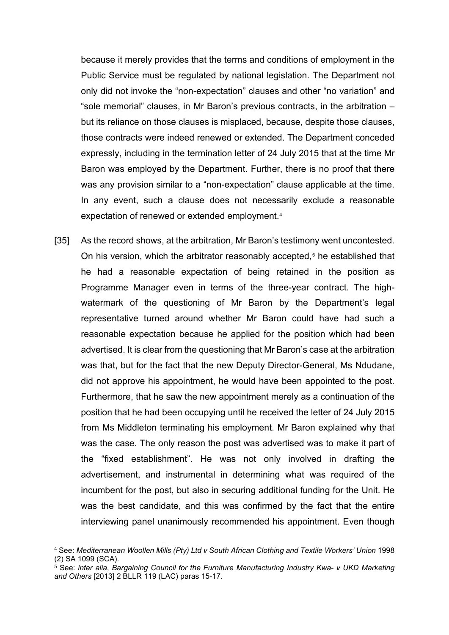because it merely provides that the terms and conditions of employment in the Public Service must be regulated by national legislation. The Department not only did not invoke the "non-expectation" clauses and other "no variation" and "sole memorial" clauses, in Mr Baron's previous contracts, in the arbitration – but its reliance on those clauses is misplaced, because, despite those clauses, those contracts were indeed renewed or extended. The Department conceded expressly, including in the termination letter of 24 July 2015 that at the time Mr Baron was employed by the Department. Further, there is no proof that there was any provision similar to a "non-expectation" clause applicable at the time. In any event, such a clause does not necessarily exclude a reasonable expectation of renewed or extended employment.[4](#page-15-0)

[35] As the record shows, at the arbitration, Mr Baron's testimony went uncontested. On his version, which the arbitrator reasonably accepted,<sup>[5](#page-15-1)</sup> he established that he had a reasonable expectation of being retained in the position as Programme Manager even in terms of the three-year contract. The highwatermark of the questioning of Mr Baron by the Department's legal representative turned around whether Mr Baron could have had such a reasonable expectation because he applied for the position which had been advertised. It is clear from the questioning that Mr Baron's case at the arbitration was that, but for the fact that the new Deputy Director-General, Ms Ndudane, did not approve his appointment, he would have been appointed to the post. Furthermore, that he saw the new appointment merely as a continuation of the position that he had been occupying until he received the letter of 24 July 2015 from Ms Middleton terminating his employment. Mr Baron explained why that was the case. The only reason the post was advertised was to make it part of the "fixed establishment". He was not only involved in drafting the advertisement, and instrumental in determining what was required of the incumbent for the post, but also in securing additional funding for the Unit. He was the best candidate, and this was confirmed by the fact that the entire interviewing panel unanimously recommended his appointment. Even though

<span id="page-15-0"></span><sup>4</sup> See: *Mediterranean Woollen Mills (Pty) Ltd v South African Clothing and Textile Workers' Union* 1998 (2) SA 1099 (SCA).

<span id="page-15-1"></span><sup>5</sup> See: *inter alia*, *Bargaining Council for the Furniture Manufacturing Industry Kwa- v UKD Marketing and Others* [2013] 2 BLLR 119 (LAC) paras 15-17.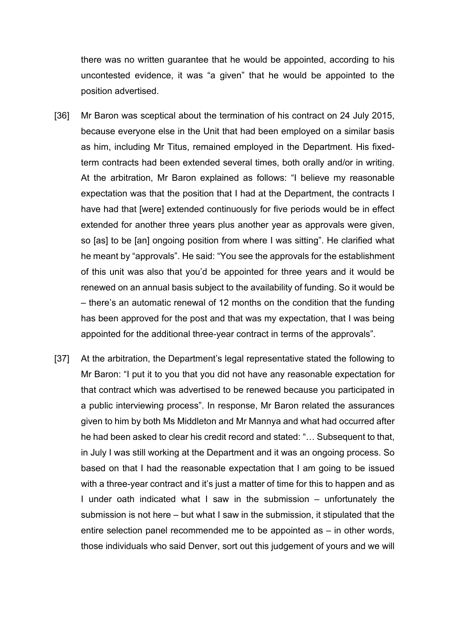there was no written guarantee that he would be appointed, according to his uncontested evidence, it was "a given" that he would be appointed to the position advertised.

- [36] Mr Baron was sceptical about the termination of his contract on 24 July 2015, because everyone else in the Unit that had been employed on a similar basis as him, including Mr Titus, remained employed in the Department. His fixedterm contracts had been extended several times, both orally and/or in writing. At the arbitration, Mr Baron explained as follows: "I believe my reasonable expectation was that the position that I had at the Department, the contracts I have had that [were] extended continuously for five periods would be in effect extended for another three years plus another year as approvals were given, so [as] to be [an] ongoing position from where I was sitting". He clarified what he meant by "approvals". He said: "You see the approvals for the establishment of this unit was also that you'd be appointed for three years and it would be renewed on an annual basis subject to the availability of funding. So it would be – there's an automatic renewal of 12 months on the condition that the funding has been approved for the post and that was my expectation, that I was being appointed for the additional three-year contract in terms of the approvals".
- [37] At the arbitration, the Department's legal representative stated the following to Mr Baron: "I put it to you that you did not have any reasonable expectation for that contract which was advertised to be renewed because you participated in a public interviewing process". In response, Mr Baron related the assurances given to him by both Ms Middleton and Mr Mannya and what had occurred after he had been asked to clear his credit record and stated: "… Subsequent to that, in July I was still working at the Department and it was an ongoing process. So based on that I had the reasonable expectation that I am going to be issued with a three-year contract and it's just a matter of time for this to happen and as I under oath indicated what I saw in the submission – unfortunately the submission is not here – but what I saw in the submission, it stipulated that the entire selection panel recommended me to be appointed as – in other words, those individuals who said Denver, sort out this judgement of yours and we will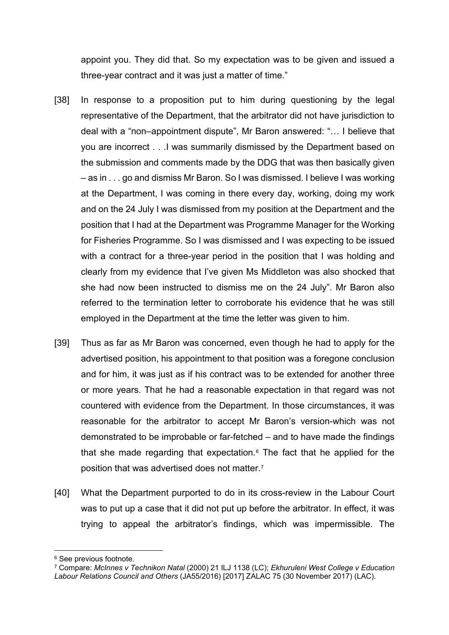appoint you. They did that. So my expectation was to be given and issued a three-year contract and it was just a matter of time."

- [38] In response to a proposition put to him during questioning by the legal representative of the Department, that the arbitrator did not have jurisdiction to deal with a "non–appointment dispute", Mr Baron answered: "… I believe that you are incorrect . . .I was summarily dismissed by the Department based on the submission and comments made by the DDG that was then basically given – as in . . . go and dismiss Mr Baron. So I was dismissed. I believe I was working at the Department, I was coming in there every day, working, doing my work and on the 24 July I was dismissed from my position at the Department and the position that I had at the Department was Programme Manager for the Working for Fisheries Programme. So I was dismissed and I was expecting to be issued with a contract for a three-year period in the position that I was holding and clearly from my evidence that I've given Ms Middleton was also shocked that she had now been instructed to dismiss me on the 24 July". Mr Baron also referred to the termination letter to corroborate his evidence that he was still employed in the Department at the time the letter was given to him.
- [39] Thus as far as Mr Baron was concerned, even though he had to apply for the advertised position, his appointment to that position was a foregone conclusion and for him, it was just as if his contract was to be extended for another three or more years. That he had a reasonable expectation in that regard was not countered with evidence from the Department. In those circumstances, it was reasonable for the arbitrator to accept Mr Baron's version-which was not demonstrated to be improbable or far-fetched – and to have made the findings that she made regarding that expectation.<sup> $6$ </sup> The fact that he applied for the position that was advertised does not matter.[7](#page-17-1)
- [40] What the Department purported to do in its cross-review in the Labour Court was to put up a case that it did not put up before the arbitrator. In effect, it was trying to appeal the arbitrator's findings, which was impermissible. The

<span id="page-17-0"></span><sup>6</sup> See previous footnote.

<span id="page-17-1"></span><sup>7</sup> Compare: *McInnes v Technikon Natal* (2000) 21 ILJ 1138 (LC); *Ekhuruleni West College v Education Labour Relations Council and Others* (JA55/2016) [2017] ZALAC 75 (30 November 2017) (LAC).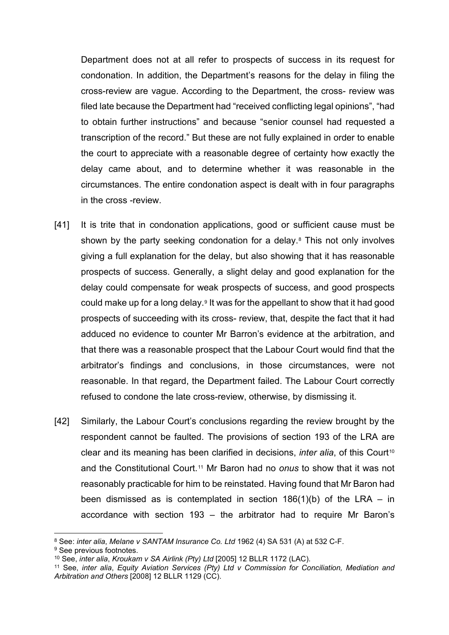Department does not at all refer to prospects of success in its request for condonation. In addition, the Department's reasons for the delay in filing the cross-review are vague. According to the Department, the cross- review was filed late because the Department had "received conflicting legal opinions", "had to obtain further instructions" and because "senior counsel had requested a transcription of the record." But these are not fully explained in order to enable the court to appreciate with a reasonable degree of certainty how exactly the delay came about, and to determine whether it was reasonable in the circumstances. The entire condonation aspect is dealt with in four paragraphs in the cross -review.

- [41] It is trite that in condonation applications, good or sufficient cause must be shown by the party seeking condonation for a delay.<sup>[8](#page-18-0)</sup> This not only involves giving a full explanation for the delay, but also showing that it has reasonable prospects of success. Generally, a slight delay and good explanation for the delay could compensate for weak prospects of success, and good prospects could make up for a long delay.<sup>[9](#page-18-1)</sup> It was for the appellant to show that it had good prospects of succeeding with its cross- review, that, despite the fact that it had adduced no evidence to counter Mr Barron's evidence at the arbitration, and that there was a reasonable prospect that the Labour Court would find that the arbitrator's findings and conclusions, in those circumstances, were not reasonable. In that regard, the Department failed. The Labour Court correctly refused to condone the late cross-review, otherwise, by dismissing it.
- [42] Similarly, the Labour Court's conclusions regarding the review brought by the respondent cannot be faulted. The provisions of section 193 of the LRA are clear and its meaning has been clarified in decisions, *inter alia*, of this Court<sup>[10](#page-18-2)</sup> and the Constitutional Court.[11](#page-18-3) Mr Baron had no *onus* to show that it was not reasonably practicable for him to be reinstated. Having found that Mr Baron had been dismissed as is contemplated in section  $186(1)(b)$  of the LRA – in accordance with section 193 – the arbitrator had to require Mr Baron's

<span id="page-18-0"></span><sup>8</sup> See: *inter alia*, *Melane v SANTAM Insurance Co. Ltd* 1962 (4) SA 531 (A) at 532 C-F.

<span id="page-18-1"></span><sup>&</sup>lt;sup>9</sup> See previous footnotes.

<sup>10</sup> See, *inter alia*, *Kroukam v SA Airlink (Pty) Ltd* [2005] 12 BLLR 1172 (LAC).

<span id="page-18-3"></span><span id="page-18-2"></span><sup>11</sup> See, *inter alia*, *Equity Aviation Services (Pty) Ltd v Commission for Conciliation, Mediation and Arbitration and Others* [2008] 12 BLLR 1129 (CC).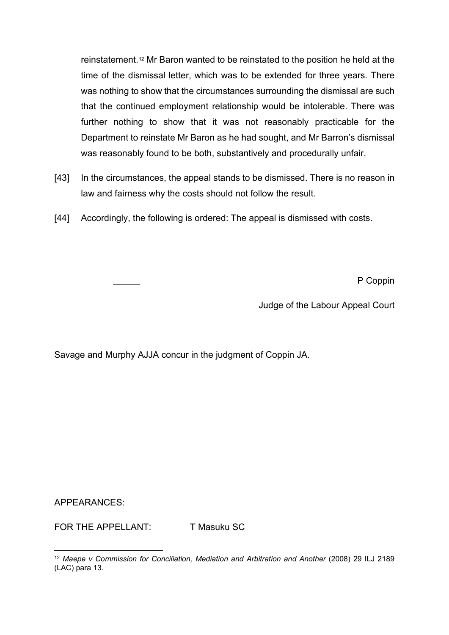reinstatement.[12](#page-19-0) Mr Baron wanted to be reinstated to the position he held at the time of the dismissal letter, which was to be extended for three years. There was nothing to show that the circumstances surrounding the dismissal are such that the continued employment relationship would be intolerable. There was further nothing to show that it was not reasonably practicable for the Department to reinstate Mr Baron as he had sought, and Mr Barron's dismissal was reasonably found to be both, substantively and procedurally unfair.

- [43] In the circumstances, the appeal stands to be dismissed. There is no reason in law and fairness why the costs should not follow the result.
- [44] Accordingly, the following is ordered: The appeal is dismissed with costs.

P Coppin

Judge of the Labour Appeal Court

Savage and Murphy AJJA concur in the judgment of Coppin JA.

APPEARANCES:

FOR THE APPELLANT: T Masuku SC

<span id="page-19-0"></span><sup>&</sup>lt;sup>12</sup> Maepe y Commission for Conciliation, Mediation and Arbitration and Another (2008) 29 ILJ 2189 (LAC) para 13.